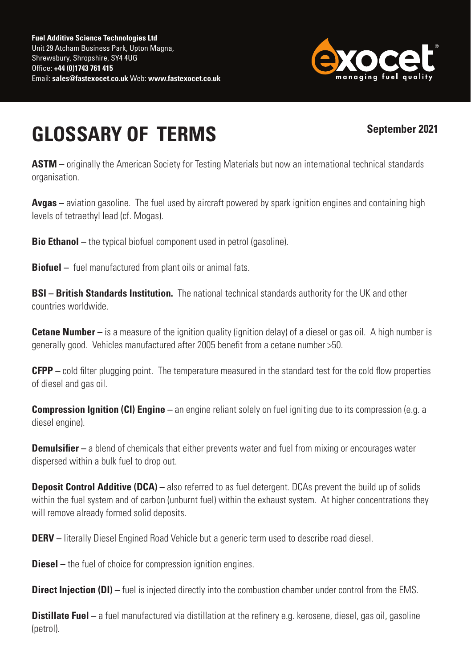

## **GLOSSARY OF TERMS**

## **September 2021**

**ASTM** – originally the American Society for Testing Materials but now an international technical standards organisation.

**Avgas** – aviation gasoline. The fuel used by aircraft powered by spark ignition engines and containing high levels of tetraethyl lead (cf. Mogas).

**Bio Ethanol** – the typical biofuel component used in petrol (gasoline).

**Biofuel –** fuel manufactured from plant oils or animal fats.

**BSI – British Standards Institution.** The national technical standards authority for the UK and other countries worldwide.

**Cetane Number –** is a measure of the ignition quality (ignition delay) of a diesel or gas oil. A high number is generally good. Vehicles manufactured after 2005 benefit from a cetane number >50.

**CFPP –** cold filter plugging point. The temperature measured in the standard test for the cold flow properties of diesel and gas oil.

**Compression Ignition (CI) Engine –** an engine reliant solely on fuel igniting due to its compression (e.g. a diesel engine).

**Demulsifier –** a blend of chemicals that either prevents water and fuel from mixing or encourages water dispersed within a bulk fuel to drop out.

**Deposit Control Additive (DCA)** – also referred to as fuel detergent. DCAs prevent the build up of solids within the fuel system and of carbon (unburnt fuel) within the exhaust system. At higher concentrations they will remove already formed solid deposits.

**DERV** – literally Diesel Engined Road Vehicle but a generic term used to describe road diesel.

**Diesel –** the fuel of choice for compression ignition engines.

**Direct Injection (DI)** – fuel is injected directly into the combustion chamber under control from the EMS.

**Distillate Fuel –** a fuel manufactured via distillation at the refinery e.g. kerosene, diesel, gas oil, gasoline (petrol).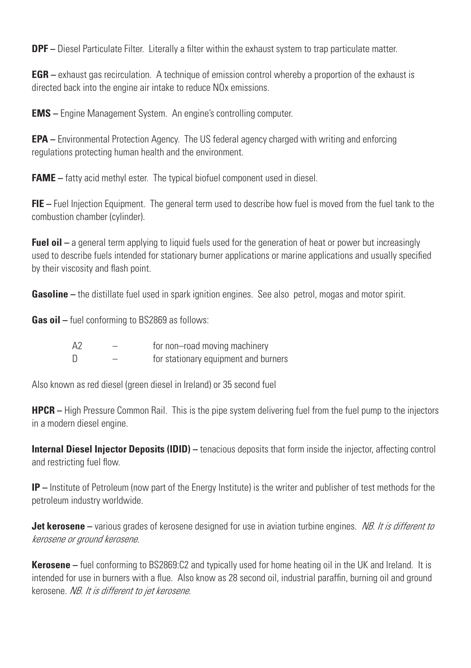**DPF** – Diesel Particulate Filter. Literally a filter within the exhaust system to trap particulate matter.

**EGR** – exhaust gas recirculation. A technique of emission control whereby a proportion of the exhaust is directed back into the engine air intake to reduce NOx emissions.

**EMS –** Engine Management System. An engine's controlling computer.

**EPA –** Environmental Protection Agency. The US federal agency charged with writing and enforcing regulations protecting human health and the environment.

**FAME** – fatty acid methyl ester. The typical biofuel component used in diesel.

**FIE –** Fuel Injection Equipment. The general term used to describe how fuel is moved from the fuel tank to the combustion chamber (cylinder).

**Fuel oil –** a general term applying to liquid fuels used for the generation of heat or power but increasingly used to describe fuels intended for stationary burner applications or marine applications and usually specified by their viscosity and flash point.

**Gasoline** – the distillate fuel used in spark ignition engines. See also petrol, mogas and motor spirit.

**Gas oil –** fuel conforming to BS2869 as follows:

| A <sub>2</sub> | for non-road moving machinery        |
|----------------|--------------------------------------|
| $\mathsf{D}$   | for stationary equipment and burners |

Also known as red diesel (green diesel in Ireland) or 35 second fuel

**HPCR –** High Pressure Common Rail. This is the pipe system delivering fuel from the fuel pump to the injectors in a modern diesel engine.

**Internal Diesel Injector Deposits (IDID)** – tenacious deposits that form inside the injector, affecting control and restricting fuel flow.

**IP –** Institute of Petroleum (now part of the Energy Institute) is the writer and publisher of test methods for the petroleum industry worldwide.

**Jet kerosene** – various grades of kerosene designed for use in aviation turbine engines. NB. It is different to kerosene or ground kerosene.

**Kerosene –** fuel conforming to BS2869:C2 and typically used for home heating oil in the UK and Ireland. It is intended for use in burners with a flue. Also know as 28 second oil, industrial paraffin, burning oil and ground kerosene. NB. It is different to jet kerosene.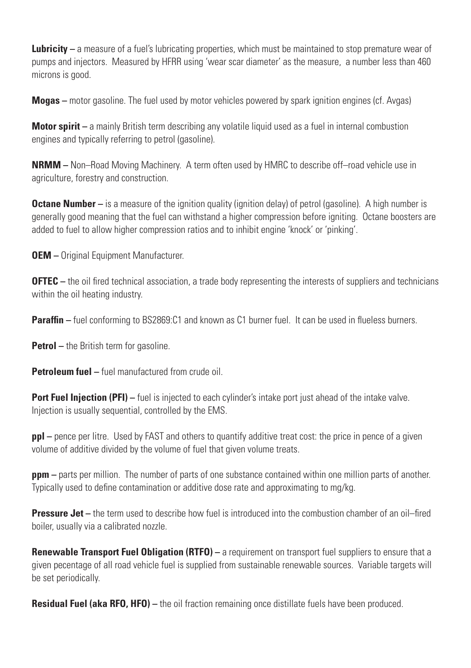**Lubricity** – a measure of a fuel's lubricating properties, which must be maintained to stop premature wear of pumps and injectors. Measured by HFRR using 'wear scar diameter' as the measure, a number less than 460 microns is good.

**Mogas –** motor gasoline. The fuel used by motor vehicles powered by spark ignition engines (cf. Avgas)

**Motor spirit** – a mainly British term describing any volatile liquid used as a fuel in internal combustion engines and typically referring to petrol (gasoline).

**NRMM** – Non–Road Moving Machinery. A term often used by HMRC to describe off–road vehicle use in agriculture, forestry and construction.

**Octane Number** – is a measure of the ignition quality (ignition delay) of petrol (gasoline). A high number is generally good meaning that the fuel can withstand a higher compression before igniting. Octane boosters are added to fuel to allow higher compression ratios and to inhibit engine 'knock' or 'pinking'.

**OEM** – Original Equipment Manufacturer.

**OFTEC** – the oil fired technical association, a trade body representing the interests of suppliers and technicians within the oil heating industry.

**Paraffin** – fuel conforming to BS2869:C1 and known as C1 burner fuel. It can be used in flueless burners.

**Petrol** – the British term for gasoline.

**Petroleum fuel –** fuel manufactured from crude oil.

**Port Fuel Injection (PFI)** – fuel is injected to each cylinder's intake port just ahead of the intake valve. Injection is usually sequential, controlled by the EMS.

**ppl** – pence per litre. Used by FAST and others to quantify additive treat cost: the price in pence of a given volume of additive divided by the volume of fuel that given volume treats.

**ppm** – parts per million. The number of parts of one substance contained within one million parts of another. Typically used to define contamination or additive dose rate and approximating to mg/kg.

**Pressure Jet** – the term used to describe how fuel is introduced into the combustion chamber of an oil–fired boiler, usually via a calibrated nozzle.

**Renewable Transport Fuel Obligation (RTFO)** – a requirement on transport fuel suppliers to ensure that a given pecentage of all road vehicle fuel is supplied from sustainable renewable sources. Variable targets will be set periodically.

**Residual Fuel (aka RFO, HFO)** – the oil fraction remaining once distillate fuels have been produced.